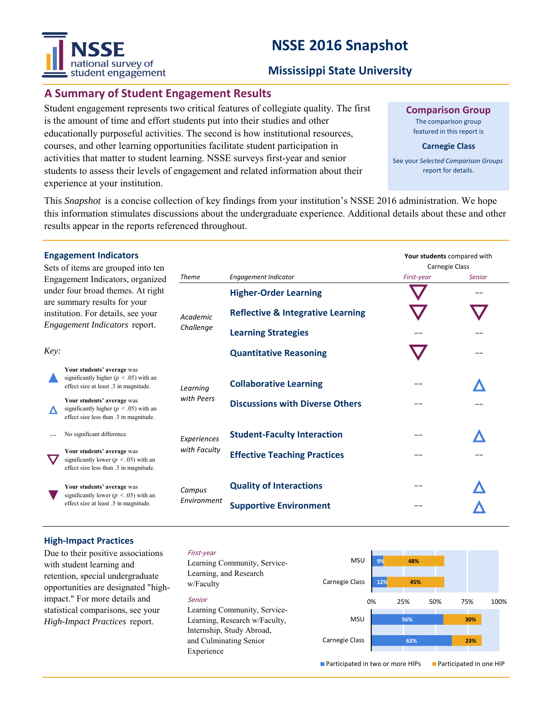# **NSSE 2016 Snapshot**



# **Mississippi State University**

# **A Summary of Student Engagement Results**

Student engagement represents two critical features of collegiate quality. The first is the amount of time and effort students put into their studies and other educationally purposeful activities. The second is how institutional resources, courses, and other learning opportunities facilitate student participation in activities that matter to student learning. NSSE surveys first-year and senior students to assess their levels of engagement and related information about their experience at your institution.

### **Comparison Group**

The comparison group featured in this report is

#### **Carnegie Class**

See your *Selected Comparison Groups*  report for details.

This *Snapshot* is a concise collection of key findings from your institution's NSSE 2016 administration. We hope this information stimulates discussions about the undergraduate experience. Additional details about these and other results appear in the reports referenced throughout.

|                                                                                                                                                                              | <b>Engagement Indicators</b><br>Sets of items are grouped into ten                                                 |                       |                                              | Your students compared with<br>Carnegie Class |        |
|------------------------------------------------------------------------------------------------------------------------------------------------------------------------------|--------------------------------------------------------------------------------------------------------------------|-----------------------|----------------------------------------------|-----------------------------------------------|--------|
| Engagement Indicators, organized<br>under four broad themes. At right<br>are summary results for your<br>institution. For details, see your<br>Engagement Indicators report. |                                                                                                                    | <b>Theme</b>          | <b>Engagement Indicator</b>                  | First-year                                    | Senior |
|                                                                                                                                                                              |                                                                                                                    | Academic<br>Challenge | <b>Higher-Order Learning</b>                 |                                               |        |
|                                                                                                                                                                              |                                                                                                                    |                       | <b>Reflective &amp; Integrative Learning</b> |                                               |        |
|                                                                                                                                                                              |                                                                                                                    |                       | <b>Learning Strategies</b>                   |                                               |        |
| Key:                                                                                                                                                                         |                                                                                                                    |                       | <b>Quantitative Reasoning</b>                |                                               |        |
|                                                                                                                                                                              | Your students' average was<br>significantly higher ( $p < .05$ ) with an<br>effect size at least .3 in magnitude.  | Learning              | <b>Collaborative Learning</b>                |                                               |        |
|                                                                                                                                                                              | Your students' average was<br>significantly higher ( $p < .05$ ) with an<br>effect size less than .3 in magnitude. | with Peers            | <b>Discussions with Diverse Others</b>       |                                               |        |
|                                                                                                                                                                              | No significant difference.                                                                                         | Experiences           | <b>Student-Faculty Interaction</b>           |                                               |        |
|                                                                                                                                                                              | Your students' average was<br>significantly lower ( $p < .05$ ) with an<br>effect size less than .3 in magnitude.  | with Faculty          | <b>Effective Teaching Practices</b>          |                                               |        |
|                                                                                                                                                                              | Your students' average was<br>significantly lower ( $p < .05$ ) with an<br>effect size at least 3 in magnitude.    | Campus<br>Environment | <b>Quality of Interactions</b>               |                                               |        |
|                                                                                                                                                                              |                                                                                                                    |                       | <b>Supportive Environment</b>                |                                               |        |

### **High‐Impact Practices**

Due to their positive associations with student learning and retention, special undergraduate opportunities are designated "highimpact." For more details and statistical comparisons, see your *High-Impact Practices* report.

#### First-year

Learning Community, Service-Learning, and Research w/Faculty

#### Senior

Learning Community, Service-Learning, Research w/Faculty, Internship, Study Abroad, and Culminating Senior Experience

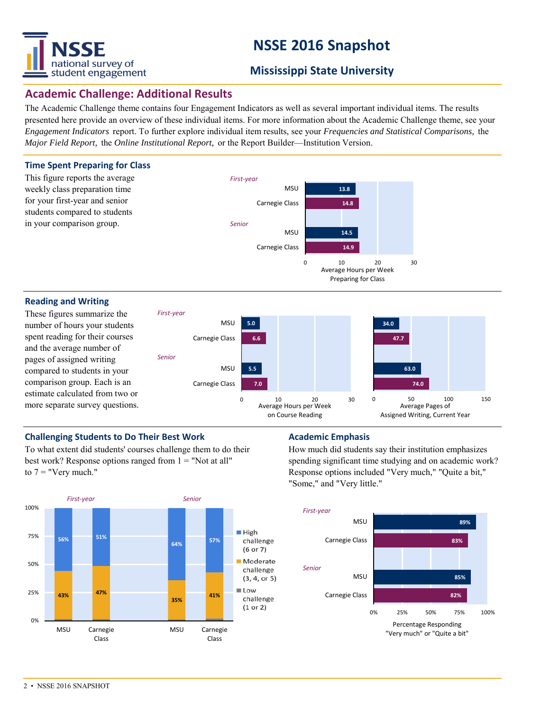

# **NSSE 2016 Snapshot**

# **Mississippi State University**

# **Academic Challenge: Additional Results**

The Academic Challenge theme contains four Engagement Indicators as well as several important individual items. The results presented here provide an overview of these individual items. For more information about the Academic Challenge theme, see your *Engagement Indicators* report. To further explore individual item results, see your *Frequencies and Statistical Comparisons,* the *Major Field Report,* the *Online Institutional Report,* or the Report Builder—Institution Version.



#### **Reading and Writing**

These figures summarize the number of hours your students spent reading for their courses and the average number of pages of assigned writing compared to students in your comparison group. Each is an estimate calculated from two or more separate survey questions.



### **Challenging Students to Do Their Best Work Manual Academic Emphasis**

To what extent did students' courses challenge them to do their best work? Response options ranged from  $1 =$  "Not at all" to  $7 =$  "Very much."



How much did students say their institution emphasizes spending significant time studying and on academic work? Response options included "Very much," "Quite a bit," "Some," and "Very little."

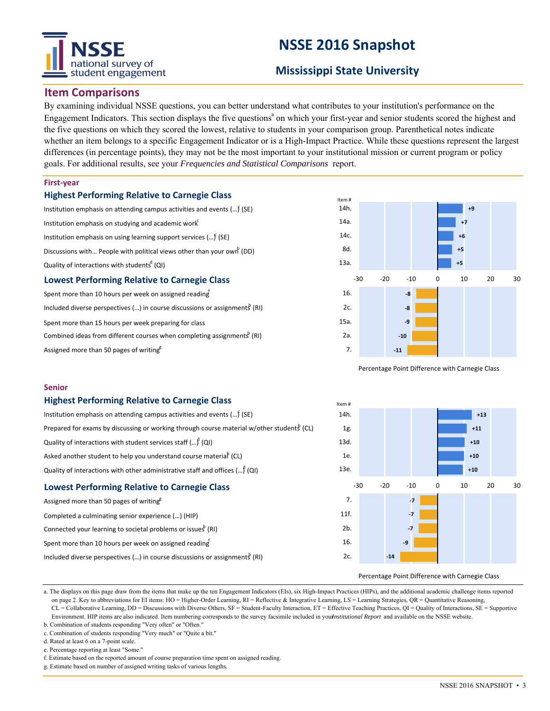# national survey of student engagement

# **NSSE 2016 Snapshot**

# **Mississippi State University**

## **Item Comparisons**

By examining individual NSSE questions, you can better understand what contributes to your institution's performance on the Engagement Indicators. This section displays the five questions<sup>a</sup> on which your first-year and senior students scored the highest and the five questions on which they scored the lowest, relative to students in your comparison group. Parenthetical notes indicate whether an item belongs to a specific Engagement Indicator or is a High-Impact Practice. While these questions represent the largest differences (in percentage points), they may not be the most important to your institutional mission or current program or policy goals. For additional results, see your *Frequencies and Statistical Comparisons* report.

#### **First‐year**

#### **Highest Performing Relative to Carnegie Class**

Institution emphasis on attending campus activities and events (...) (SE) Institution emphasis on studying and academic work $f$ Institution emphasis on using learning support services (... $\mathfrak f$  (SE) Discussions with... People with political views other than your own  $P(DD)$ Quality of interactions with students<sup>d</sup> (QI)

### **Lowest Performing Relative to Carnegie Class**

Spent more than 10 hours per week on assigned reading Included diverse perspectives (...) in course discussions or assignments (RI) Spent more than 15 hours per week preparing for class Combined ideas from different courses when completing assignments<sup>b</sup> (RI) Assigned more than 50 pages of writing<sup>g</sup>



Percentage Point Difference with Carnegie Class

#### **Senior**

#### **Highest Performing Relative to Carnegie Class**

| <b>Lowest Performing Relative to Carnegie Class</b>                                                    |  |  |  |  |  |  |
|--------------------------------------------------------------------------------------------------------|--|--|--|--|--|--|
| Quality of interactions with other administrative staff and offices $()^f(Q)$                          |  |  |  |  |  |  |
| Asked another student to help you understand course material (CL)                                      |  |  |  |  |  |  |
| Quality of interactions with student services staff $()^{0}$ (QI)                                      |  |  |  |  |  |  |
| Prepared for exams by discussing or working through course material w/other students <sup>b</sup> (CL) |  |  |  |  |  |  |
| Institution emphasis on attending campus activities and events $()$ (SE)                               |  |  |  |  |  |  |

| Assigned more than 50 pages of writing <sup>8</sup>                                     |  |  |  |  |  |  |
|-----------------------------------------------------------------------------------------|--|--|--|--|--|--|
| Completed a culminating senior experience () (HIP)                                      |  |  |  |  |  |  |
| Connected your learning to societal problems or issues <sup>b</sup> (RI)                |  |  |  |  |  |  |
| Spent more than 10 hours per week on assigned reading                                   |  |  |  |  |  |  |
| Included diverse perspectives () in course discussions or assignments <sup>8</sup> (RI) |  |  |  |  |  |  |



#### Percentage Point Difference with Carnegie Class

a. The displays on this page draw from the items that make up the ten Engagement Indicators (EIs), six High-Impact Practices (HIPs), and the additional academic challenge items reported on page 2. Key to abbreviations for EI items: HO = Higher-Order Learning, RI = Reflective & Integrative Learning, LS = Learning Strategies, QR = Quantitative Reasoning, CL = Collaborative Learning, DD = Discussions with Diverse Others, SF = Student-Faculty Interaction, ET = Effective Teaching Practices, QI = Quality of Interactions, SE = Supportive Environment. HIP items are also indicated. Item numbering corresponds to the survey facsimile included in yournstitutional Report and available on the NSSE website.

b. Combination of students responding "Very often" or "Often." c. Combination of students responding "Very much" or "Quite a bit."

d. Rated at least 6 on a 7-point scale.

e. Percentage reporting at least "Some.

f. Estimate based on the reported amount of course preparation time spent on assigned reading.

g. Estimate based on number of assigned writing tasks of various lengths.